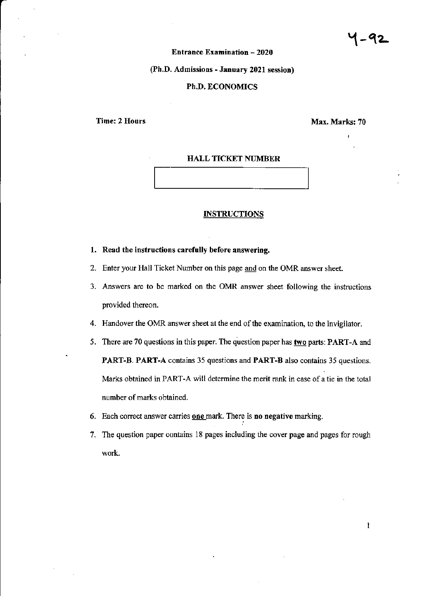# **Entrance Examination - 2020**

# (Ph.D. Admissions - January 2021 session)

# Ph.D. ECONOMICS

Time: 2 Hours Max. Marks: 70

### HALL TICKET NUMBER

#### **INSTRUCTIONS**

#### 1. Read the instructions carefully before answering.

- 2. Enter your Hall Ticket Number on this page <u>and</u> on the OMR answer sheet.
- 3. Answers are to be marked on the OMR answer sheet following the instructions provided thereon.
- 4. Handover the OMR answer sheet at the end of the examination, to the invigilator.
- 5. There are 70 questions in this paper. The question paper has **two** parts: PART-A and PART-B. PART-A contains 35 questions and PART-B also contains 35 questions. Marks obtained in PART-A will determine the merit rank in case of a tie in the total number of marks obtained.
- 6. Each correct answer carries **one** mark. There is no negative marking.
- 7. The question paper contains 18 pages including the cover page and pages for rough work.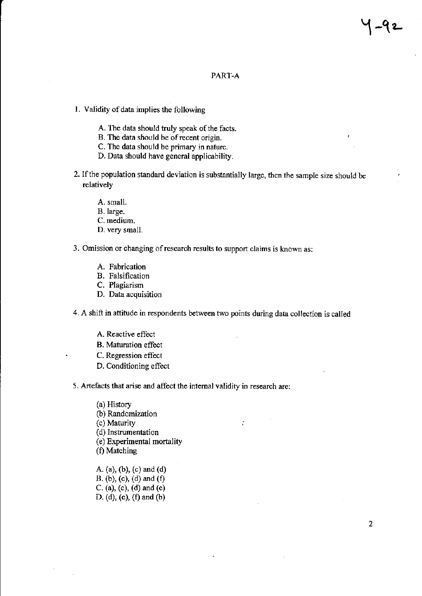## PART-A

- 1. Validity of data implies the following
	- A. The data should truly speak of the facts.
	- B. The data should be ofrecent origin.
	- C. The data should be primary in nature.
	- D. Data should have general applicability.
- 2. Ifthe population standard deviation is substantially large, then the sample size should be rclatively
	- A. small.
	- B.large.
	- C. medium.
	- D. very small.
- 3. Omission or changing ofresearch results to support claims is known as:
	- A. Fabrication
	- B. Falsification
	- C. Plagiarism
	- D. Data acquisition

4. A shift in attitude in respondents between two points during data collection is called

- A. Reactive effect
- B. Maturation effect
- C. Regression effect
- D. Conditioning effect

5. Artefacts that arise and affect the intemal validitv in research are:

(a) History (b) Randomization (c) Maturity is a set of  $\mathcal{L}$  is a set of  $\mathcal{L}$  is a set of  $\mathcal{L}$  is a set of  $\mathcal{L}$  is a set of  $\mathcal{L}$  is a set of  $\mathcal{L}$  is a set of  $\mathcal{L}$  is a set of  $\mathcal{L}$  is a set of  $\mathcal{L}$  is a set of  $\mathcal{L}$ (d) Instrumentation (e) Experimental mortality (f) Matching

A. (a), (b), (c) and (d) B. (b), (c), (d) and  $(f)$ c. (a), (c), (d) and (e) D. (d), (e), (f) and (b)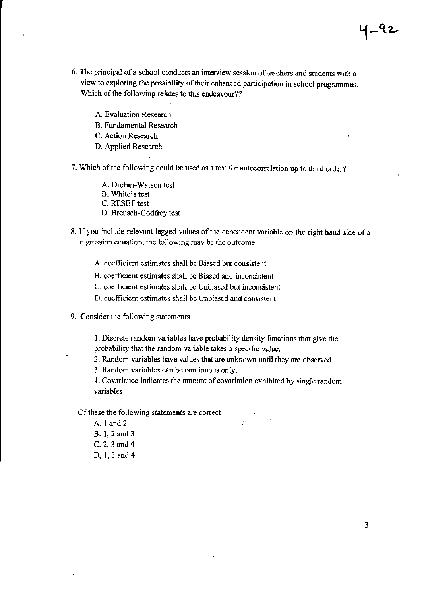6. The principal of a school conducts an interview session of teachers and students with a view to exploring the possibility of their enhanced participation in school programmes. Which of the following relates to this endeavour??

A. Evaluation Research

B. Fundamental Research

C. Action Research

D. Applied Research

7. Which of the following could be used as a test for autocorrelation up to third order?

A. Durbin-Watson test

B. White's test

C. RESET test

D. Breusch-Godfrey test

8. If you include relevant lagged values of the dependent variable on the right hand side of a regession equation, the following may be the outcome

A. coefficient estimates shall be Biased but consistent

B. coefficient estimates shall be Biased and inconsistent

C. ooefiicient estimates shall be Unbiased but inconsistent

D. coefficient estimates shall be Unbiased and consistent

9. Consider the following statements

1. Discrete random variables have probability density functions that give the probability that the random variable takes a specific value.

2. Random variables have values that are unknown until they are observed.

<sup>3</sup>. Random variables can be continuous only.

4. Covariance indicates the amount of covariation exhibited by single random variables

Of these the following statements are correct

- A. 1 and 2
- B. 1,2 and 3
- C.2,3 and 4

D, 1,3 and 4

1–५2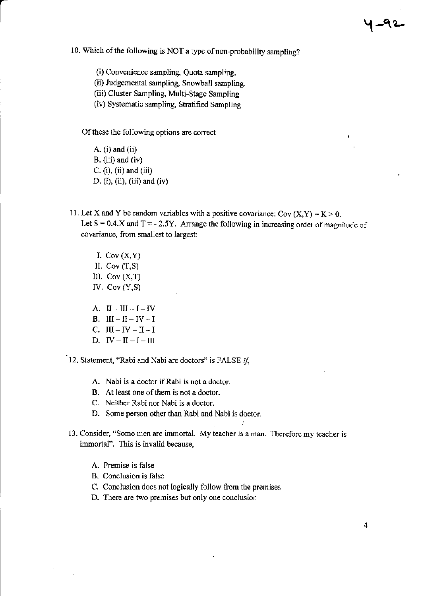10. Which of the following is NOT a type of non-probability sampling?

(i) Convenience sampling, Quota sampling.

(ii) Judgemental sampling, Snowball sampling.

(iii) Cluster Sampling, Multi-Stage Sampling

(iv) Systematic sampling, Stratified Sampling

Of these the following options are correct

A. (i) and (ii) B. (iii) and (iv)  $C. (i), (ii)$  and  $(iii)$ D. (i), (ii), (iii) and (iv)

t

- 11. Let X and Y be random variables with a positive covariance: Cov  $(X, Y) = K > 0$ . Let  $S = 0.4$ . X and  $T = -2.5Y$ . Arrange the following in increasing order of magnitude of covariance, from smallest to largest:
	- I. Cov  $(X, Y)$ ll. Cov (T,S) III. Cov  $(X,T)$ IV. Cov (Y,S)
	- A.  $II-III-I-V$
	- B. III  $-$  II  $-$  IV  $-$  I
	- C.  $III IV II I$
	- D.  $IV II I III$

12. Statement, "Rabi and Nabi are doctors" is FALSE  $if$ ,

- A. Nabi is a doctor if Rabi is not a doctor.
- B. At least one of them is not a doctor.
- C. Neither Rabi nor Nabi is a doctor.
- D. Some person other than Rabi and Nabi is doctor.
- 13. Consider, "Some men are immortal. My teacher is a man. Therefore my teacher is immortal". This is invalid because,
	- A. Premise is false
	- B. Conclusion is false
	- C. Conclusion does not logically follow fiom the premises
	- D. There are two premises but only one conclusion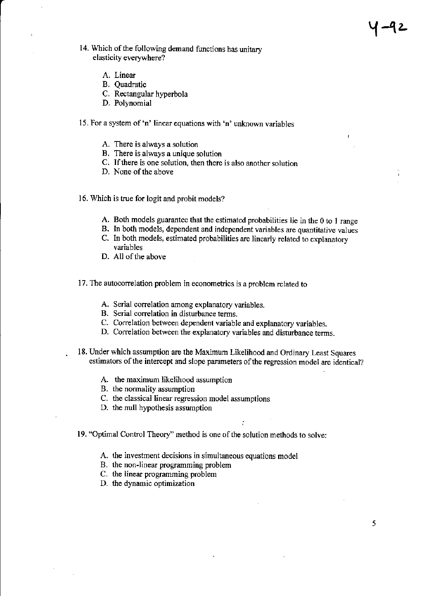- 14. Which of the following demand functions has unitary elasticity everywhere?
	- A. Linear
	- B. Quadratic
	- C. Rectangular hyperbola
	- D. Polynomial
- 15. For a system of'n' linear equations with 'n' unknown variables
	- A. There is always a solutjon
	- B. There is always a unique solution
	- C. Ifthere is one solution, then there is also another solution
	- D. None of the above

16. Which is true for logit and probit models?

- A. Both models guarantee that the estimated probabilities lie in the 0 to I rangc
- B. In both models, dependent and independent variables are quantitative values
- C. In both models, estimated probabilities are linearly related to explanatory variables
- D. All of the above
- 17. The autocorrelation problem in econometrics is a problem related to
	- A. Serial correlation among explanatory variables.
	- B. Serial correlation in disturbance tems.
	- C. Correlation between dependent variable and explanatory variables.
	- D. Correlation between the explanatory variables and disturbance terms.
- 18. Under which assumption are the Maximum Likelihood and Ordinary Least Squarcs estimators of the intercept and slope parameters of the regression model are identical?

:

- A. the maximum likelihood assumption
- B. the normality assumption
- C. the classical linear regression model assumptions
- D. the null hypothesis assumption
- 19. "Optimal Control Theory" method is one of the solution methods to solve:
	- A. the investment decisions in simultaneous equations model
	- B. the non-linear programming problem
	- C. the linear programming problem
	- D. the dynamic optimization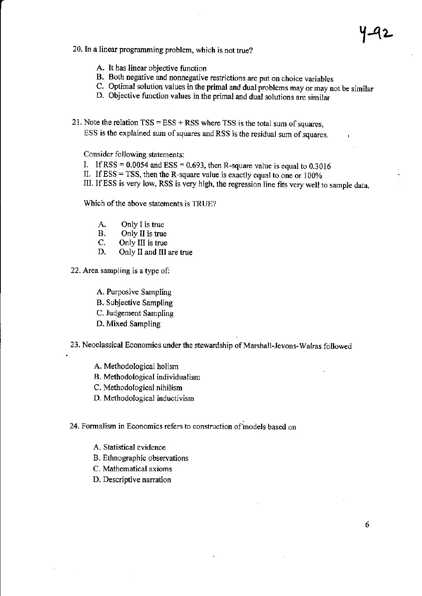# 20. In a linear programming problem, which is not true?

- A. It has linear objective function
- B. Both negative and nonnegative restrictions are put on choice variables
- C. Optimal solution values in the primal and dual problems may or may not be similar D. Objective function values in the primal and dual solutions are similar
	-
- 21. Note the relation  $TSS = ESS + RSS$  where TSS is the total sum of squares, ESS is the explained sum of squares and RSS is the residual sum of squares.

Consider following statements:

- I. If RSS =  $0.0054$  and ESS =  $0.693$ , then R-square value is equal to  $0.3016$
- II. If  $ESS = TSS$ , then the R-square value is exactly equal to one or 100%
- III. IfESS is very low, RSS is very high, the regression line fits very well to sample data.

Which of the above statements is TRUE?

- A. Only I is true<br>B. Only II is true
- B. Only II is true<br>C. Only III is true
- C. Only III is true<br>D. Only II and III
- Only II and III are true
- 22. Area sampling is a type of:
	- A. Purposive Sampling
	- B. Subjective Sampling
	- C. Judgement Sampling
	- D. Mixed Sampling
- 23. Neoclassical Economics under the stewardship of Marshall-Jevons-Walras followed
	- A. Methodological holism
	- B. Methodological individualism
	- C. Methodological nihilism
	- D. Methodological inductivism

# 24. Formalism in Economics refers to construction of models based on

- A. Statistical evidence
- B. Ethnographic observations
- C. Mathematical axioms
- D. Descriptive nanation

y-92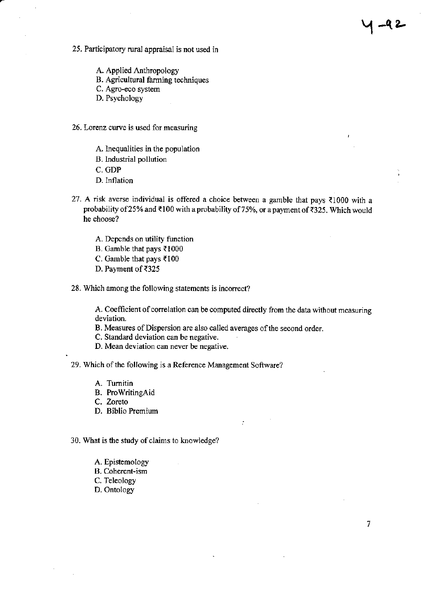25. Participatory ruml appraisal is not used in

A. Applied Anthropology

- B. Agricultural farming techniques
- C. Agro-eco system

D. Psychology

- 26. Lorenz cwve is used for measuring
	- A. Inequalities in the population
	- B. lndustrial pollution
	- C. GDP
	- D. Inflation
- 27. A risk averse individual is offered a choice between a gamble that pays  $\bar{\epsilon}1000$  with a probability of 25% and ₹100 with a probability of 75%, or a payment of ₹325. Which would he choose?

 $1 - 92$ 

 $\overline{7}$ 

- A. Depends on utility function
- B. Gamble that pays  $\overline{\xi}1000$
- C. Gamble that pays  $\overline{\epsilon}100$
- D. Payment of ₹325
- 28. Which among the following statements is incorrect?

A. Coefficient of correlation can be computed directly from the data without measuring deviation.

 $\ddot{\cdot}$ 

- B. Measures of Dispersion are also called averages of the second order.
- C. Standard deviation can be negative.
- D. Mean deviation can never be negative.
- 29. Which of the following is a Reference Management Software?
	- A. Tumitin
	- B. ProwritingAid
	- C. Zoreto
	- D. Biblio Premium
- 30. What is the study of claims to knowledge?
	- A. Epistemology
	- B. Coherent-ism
	- C. Teleology
	- D. Ontology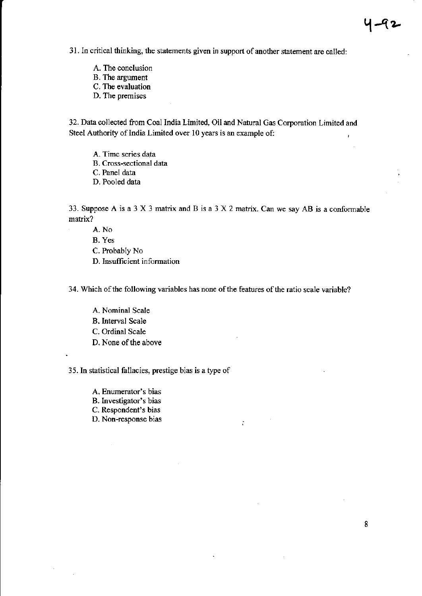31. In critical thinking, the statements given in support of another statement are called:

- A. The conclusion B. The argument
- C. The evaluation
- 
- D. The premises

32. Data collected from Coal India Limited, Oil and Natural Gas Coryoration Limited and Steel Authority of India Limited over 10 years is an example of:

- A. Time series data
- B. Cross-sectional data
- C. Panel data
- D. Pooled data

33. Suppose A is a 3 X 3 matrix and B is a 3 X 2 matrix. Can we say AB is a conformable matrix?

- A. No
- B. Yes
- C. Probably No
- D. Insufficient information

34. Which of the following variables has none of the features of the ratio scale variable?

 $\mathbb{C}$ 

A. Nominal Scale B. Interval Scale C. Ordinal Scale D. None of the above

35. In statistical fallacies, prestige bias is a type of

- A. Enumerator's bias
- B. Investigator's bias
- C. Respondent's bias
- D. Non-response bias

1-42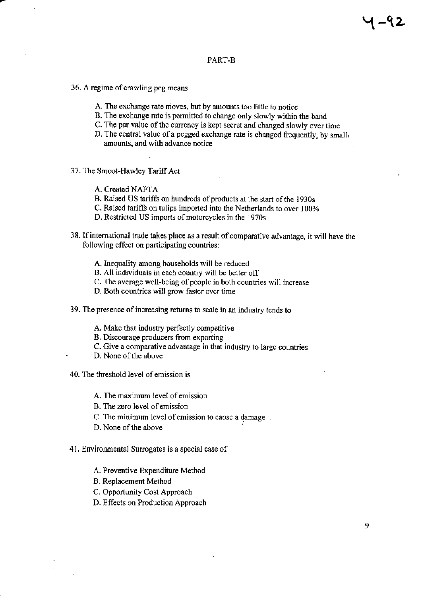## PART-B

- 36. A regime of crawling peg means
	- A. The exchange rate moves, but by amounts too little to notice
	- B. The exchange mte is permitted to change only slowly within the band
	- C. The par value of the currency is kept secret and changed slowly over time
	- D. The central value of a pegged exchange rate is changed frequently, by small, amounts, and with advance notice
- 37. The Smoot-Hawley Tariff Act
	- A. Created NAFTA
	- B. Raised US tariffs on hundreds of products at the start of the 1930s
	- C. Raised tariffs on tulips imported into the Netherlands to over 100%
	- D. Restricted US imports of motorcycles in the 1970s
- 38. If international trade takes place as a result of comparative advantage, it will have the following effect on participating countries:
	- A. Inequality among households will be reduced
	- B. All individuals in each country will be better off
	- C. The average well-being of people in both countries will increase
	- D. Both countries will grow faster over time
- 39. The presence of increasing returns to scale in an industry tends to
	- A. Make that industry perfectly competitive
	- B. Discourage producers fiom exporting
	- C. Give a comparative advantage in that industry to large countries
	- D. None of the above
- 40. The threshold level of emission is
	- A. The maximum level ofemission
	- B. The zero level ofemission
	- C. The minimum level of emission to cause a damage.
	- D. None of the above
- 41. Environmental Surrogates is a special case of
	- A. Preventive Expenditure Method
	- B. Replacement Method
	- C. Opportunity Cost Approach
	- D. Effects on Production Approach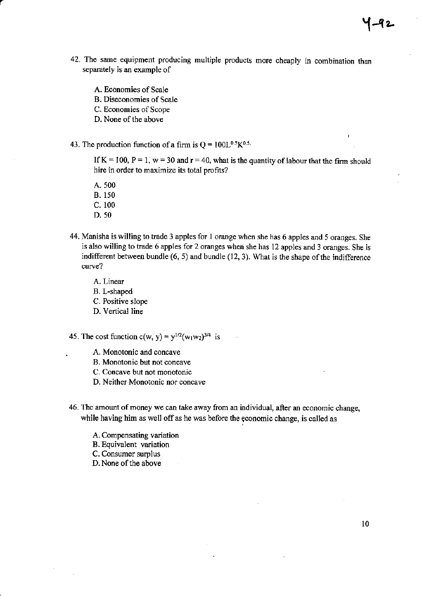- 42. The same equipment producing multiple products more cheaply in combination than separately is an example of
	- A. Economies of Scale
	- B. Diseconomies of Scale
	- C. Economies of Scope
	- D. None of the above
- 43. The production function of a firm is  $Q = 100L^{0.5}K^{0.5}$ .

If K = 100, P = 1, w = 30 and  $r = 40$ , what is the quantity of labour that the firm should hire in order to maximize its total profits?

- A. 500 B. 150
- c. <sup>100</sup>
- D. 50
- 
- 44. Manisha is willing to trade 3 apples for 1 orange when she has 6 apples and 5 oranges. She is also willing to trade 6 apples for 2 oranges when she has 12 apples and 3 oranges. She is indifferent between bundle  $(6, 5)$  and bundle  $(12, 3)$ . What is the shape of the indifference curve?
	- A. Linear
	- B. L-shaped
	- C. Positive slope
	- D. Vertical line
- 45. The cost function c(w, y) =  $y^{1/2}(w_1w_2)^{3/4}$  is
	- A. Monotonic and concave
	- B. Monotonio but not concave
	- C. Concave but not monotonic
	- D. Neither Monotonic nor concave
- 46. The amount of money we can take away from an individual, after an economic change, while having him as well off as he was before the economic change, is called as
	- A. Compensating variation
	- B. Equivalent variation
	- C. Consumer surplus
	- D. None of the above

Y-92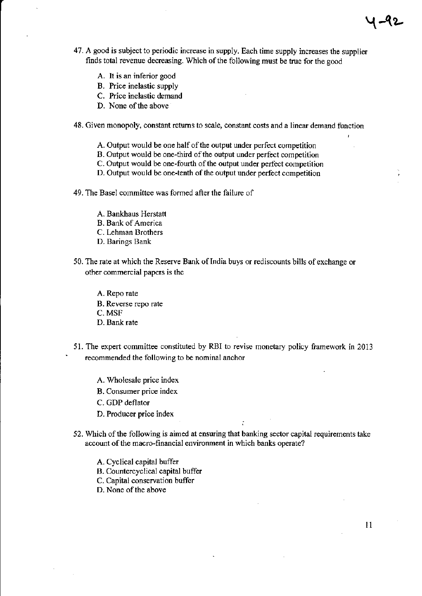- 47. A good is subject to periodic increase in supply. Each time supply increases the supplier finds total revenue decreasing. Which of the following must be true for the good
	- A. It is an inferior good
	- B. Price inelastic supply
	- C. Price inelastic demand
	- D. None of the above
- 48. Given monopoly, constant retums to scale, constant costs and a linear demand function
	- A. Output would be one half of the output under perfect competition
	- B. Output would be one-third of the output under perfect competition
	- C. Output would be one-fourth of the output under perfect competition
	- D. Output would be one-tenth of the output under perfect competition
- 49. The Basel committee was formed after the failurc of
	- A. Bankhaus Herstatt
	- B. Bank of America
	- C. Lehman Brothers
	- D. Barings Bank
- 50. The rate at which the Reserye Bank oflndia buys or rediscounts bills ofexchange or other commercial papers is the
	- A. Repo rate
	- B. Reverse repo rate
	- C. MSF
	- D. Bank rate
- 51. The expert committee constituted by RBI to revise monetary policy framework in 2013 recommended the following to be nominal anchor
	- A. Wholesale price index
	- B. Consumer price index
	- C. GDP deflator
	- D. Producer price inde
- 52. Which of the following is aimed at ensuring that banking sector capital requirements take account of the macrc-financial environment in which banks operate?
	- A. Cyclical capital buffer
	- B. Countercyclical capital buffer
	- C. Capital conservation buffer
	- D. None of the above

। –५१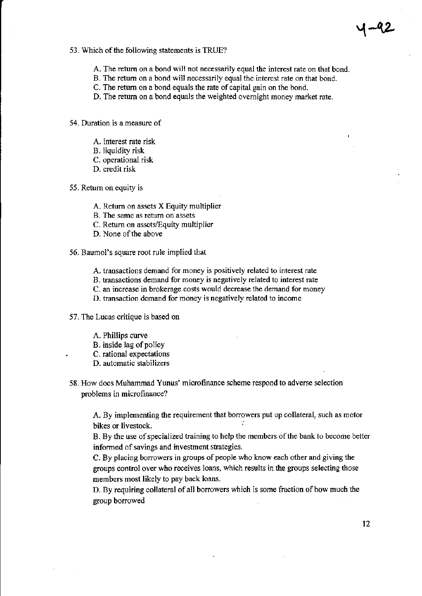### 53. Which of the following statements is TRUE?

- A. The return on a bond will not necessarily equal the interest rate on that bond.
- B. The return on a bond will necessarily equal the interest rate on that bond.
- C. The return on a bond equals the rate of capital gain on the bond.
- D. The retum on a bond equals the weighted ovemight money market rate.
- 54. Duration is a measure of
	- A. interest rate risk
	- B. liquidity risk
	- C. operational risk
	- D. crcdit risk
- 55. Retum on equity is
	- A. Retum on assets X Equity multiplier
	- B. The same as return on assets
	- C. Return on assets/Equity multiplier
	- D. None of the above
- 56. Baumol's square root rule implied that
	- A. transactions demard for money is positively related to interest rate
	- B. transactions demand for money is negatively related to interest rate
	- C. an increase in brokemge costs would decrease the demand for money
	- D. transaction demand for money is negatively related to income
- 57. The Lucas critique is based on
	- A. Phillips curve
	- B. inside lag of policy
	- . C. rational expectations
	- D. automatic stabilizers
- 58. How does Muhammad Yunus' microfinance scheme respond to advene selection problems in microfinance?

A. By implementing the requirement that borrowers put up collateral, such as motor bikes or livestock.

B. By the use of specialized training to help the members of the bank to become better informed of savings and investment strategies.

C. By placing borrowers in groups of people who know each other and giving the groups control over who receives loans, which results in the groups selecting those members most likely to pay back loans.

D. By requiring collateral of all borrowers which is some fraction of how much the group borrowed

1-92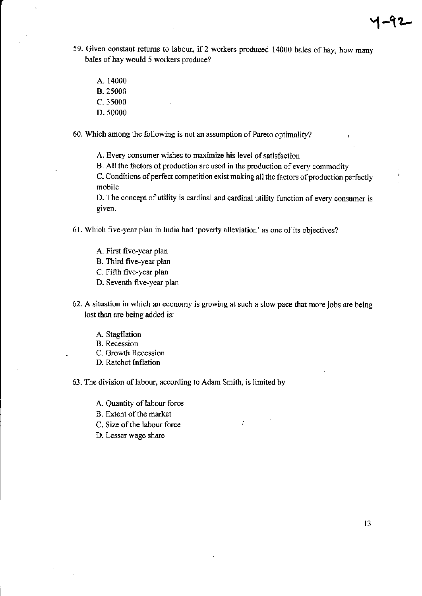- 59. Given constant returns to labour, if 2 workers produced 14000 bales of hay, how many bales of hay would 5 workers produce?
	- A. 14000 B. 25000 c.35000 D. 50000

60. Wlich among the following is not an assumption of Parcto optimality?

A. Every consumer wishes to maximize his level of satisfaction

B. All the factors of production are used in the production of every commodity

C. Conditions of perfect competition exist making all the factors of production perfectly mobile

D. The concept of utility is cardinal and cardinal utility function of every consumer is given.

- 61. Which five-year plan in India had 'poverty alleviation' as one of its objectives?
	- A. First five-year plan B. Third five-year plan C. Fifth five-year plan D. Seventh five-year plan
- 62. A situation in which an economy is growing at such a slow pace that morejobs are being lost than are being added is:

 $\ddot{\cdot}$ 

- A. Stagflation
- B. Recession
- C. Growth Recession
- D. Ratchet Inflation

63. The division of labour, according to Adam Smith, is Iimited by

- A. Quantity of labour force
- B. Extent of the market
- C. Size of the labour force
- D. Lesser wage share

 $4 - 92$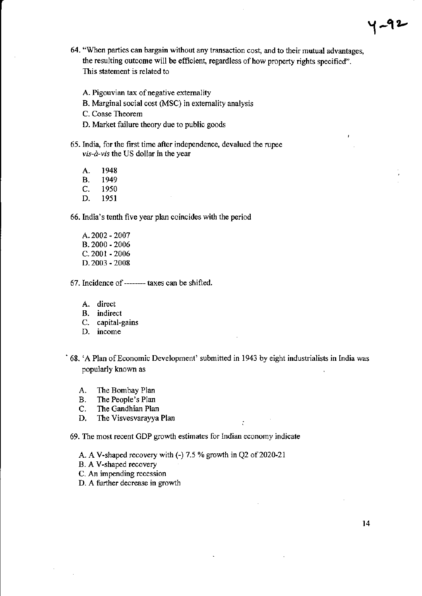- 64. "When parties can bargain without any transaction cost, and to their mutual advantages, the resulting outcome will be efficient, regardless of how property rights specified". This statement is related to
	- A. Pigouvian tax of negative externality
	- B. Marginal social cost (MSC) in extemality analysis
	- C. Coase Theorem
	- D. Market failure theory due to public goods
- 65. India, for the frst time after independence, devalued the rupee  $vis-\hat{a}-vis$  the US dollar in the year
	- A. 1948<br>B. 1949 B. 1949<br>C. 1950 C. 1950<br>D. 1951 1951

66. India's tenth five year plan coincides with the period

- A.2002 2007 8.2000 - 2006 c- 2001 - 2006 D.2003 - 2008
- 67. lncidence of ----- taxes can be shifted.
	- A. direct
	- B. indirect
	- C. capital-gains
	- D. income
- ' 68. 'A Plan ofEconomic Development' submitted in 1943 by eight industrialists in India was popularly known as

÷

- A. The Bombay Plan
- B. The People's Plan<br>C. The Gandhian Plan
- C. The Gandhian Plan<br>D. The Visvesvaravya
- The Visvesvarayya Plan

69. The most recent GDP growth estimates for Indian economy indicate

- A. A V-shaped recovery with  $(-)$  7.5 % growth in Q2 of 2020-21
- B. A V-shaped recovery
- C. An impending recession
- D. A further decrease in growth

y -92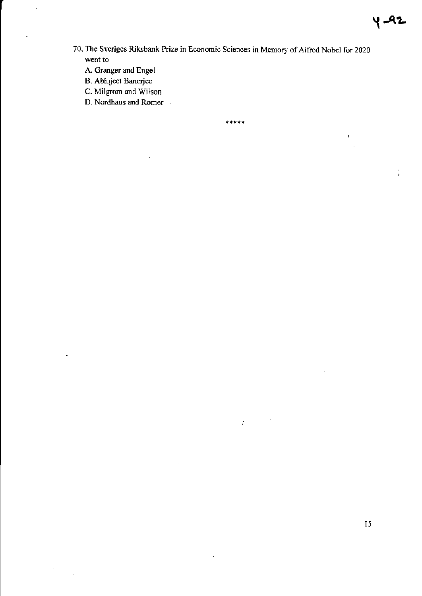70. The Sveriges Riksbank Prize in Economic Sciences in Memory of Alfred Nobel for 2020 went to

\*\*\*\*\*

 $\mathcal{L}^{(n)}$ 

 $\ddot{\phantom{0}}$ 

- A. Granger and Engel
- B. Abhijeet Banerjee
- C. Milgrom and Wilson
- D. Nordhaus and Romer  $\bar{\beta}$

15

 $\sqrt{2}$